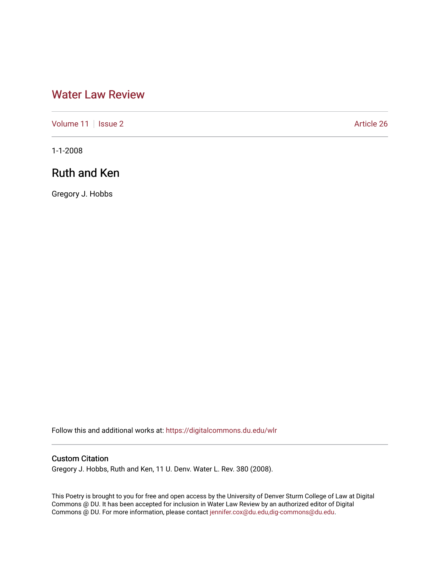## [Water Law Review](https://digitalcommons.du.edu/wlr)

[Volume 11](https://digitalcommons.du.edu/wlr/vol11) | [Issue 2](https://digitalcommons.du.edu/wlr/vol11/iss2) Article 26

1-1-2008

## Ruth and Ken

Gregory J. Hobbs

Follow this and additional works at: [https://digitalcommons.du.edu/wlr](https://digitalcommons.du.edu/wlr?utm_source=digitalcommons.du.edu%2Fwlr%2Fvol11%2Fiss2%2F26&utm_medium=PDF&utm_campaign=PDFCoverPages) 

## Custom Citation

Gregory J. Hobbs, Ruth and Ken, 11 U. Denv. Water L. Rev. 380 (2008).

This Poetry is brought to you for free and open access by the University of Denver Sturm College of Law at Digital Commons @ DU. It has been accepted for inclusion in Water Law Review by an authorized editor of Digital Commons @ DU. For more information, please contact [jennifer.cox@du.edu,dig-commons@du.edu.](mailto:jennifer.cox@du.edu,dig-commons@du.edu)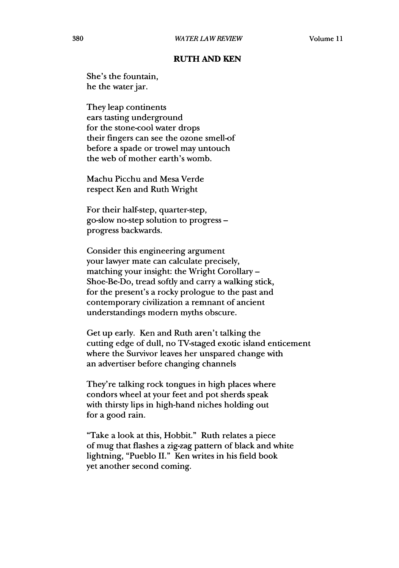## **RUTH AND KEN**

She's the fountain, he the water jar.

They leap continents ears tasting underground for the stone-cool water drops their fingers can see the ozone smell-of before a spade or trowel may untouch the web of mother earth's womb.

Machu Picchu and Mesa Verde respect Ken and Ruth Wright

For their half-step, quarter-step, go-slow no-step solution to progress  progress backwards.

Consider this engineering argument your lawyer mate can calculate precisely, matching your insight: the Wright Corollary **-** Shoe-Be-Do, tread softly and carry a walking stick, for the present's a rocky prologue to **the** past and contemporary civilization a remnant of ancient understandings modern myths obscure.

Get up early. Ken and Ruth aren't talking the cutting edge of dull, no TV-staged exotic island enticement where the Survivor leaves her unspared change with an advertiser before changing channels

They're talking rock tongues in high places where condors wheel at your feet and pot sherds speak with thirsty lips in high-hand niches holding out for a good rain.

"Take a look at this, Hobbit." Ruth relates a piece of mug that flashes a zig-zag pattern of black and white lightning, "Pueblo **II."** Ken writes in his field book yet another second coming.